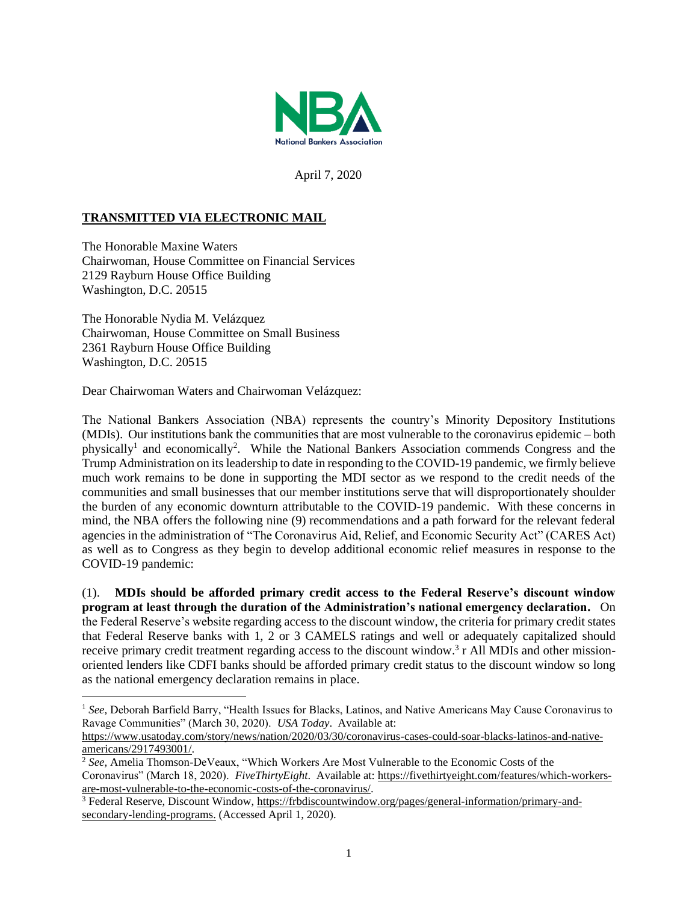

April 7, 2020

## **TRANSMITTED VIA ELECTRONIC MAIL**

The Honorable Maxine Waters Chairwoman, House Committee on Financial Services 2129 Rayburn House Office Building Washington, D.C. 20515

The Honorable Nydia M. Velázquez Chairwoman, House Committee on Small Business 2361 Rayburn House Office Building Washington, D.C. 20515

Dear Chairwoman Waters and Chairwoman Velázquez:

The National Bankers Association (NBA) represents the country's Minority Depository Institutions (MDIs). Our institutions bank the communities that are most vulnerable to the coronavirus epidemic – both physically<sup>1</sup> and economically<sup>2</sup>. While the National Bankers Association commends Congress and the Trump Administration on its leadership to date in responding to the COVID-19 pandemic, we firmly believe much work remains to be done in supporting the MDI sector as we respond to the credit needs of the communities and small businesses that our member institutions serve that will disproportionately shoulder the burden of any economic downturn attributable to the COVID-19 pandemic. With these concerns in mind, the NBA offers the following nine (9) recommendations and a path forward for the relevant federal agencies in the administration of "The Coronavirus Aid, Relief, and Economic Security Act" (CARES Act) as well as to Congress as they begin to develop additional economic relief measures in response to the COVID-19 pandemic:

(1). **MDIs should be afforded primary credit access to the Federal Reserve's discount window program at least through the duration of the Administration's national emergency declaration.** On the Federal Reserve's website regarding access to the discount window, the criteria for primary credit states that Federal Reserve banks with 1, 2 or 3 CAMELS ratings and well or adequately capitalized should receive primary credit treatment regarding access to the discount window.<sup>3</sup> r All MDIs and other missionoriented lenders like CDFI banks should be afforded primary credit status to the discount window so long as the national emergency declaration remains in place.

<sup>1</sup> *See,* Deborah Barfield Barry, "Health Issues for Blacks, Latinos, and Native Americans May Cause Coronavirus to Ravage Communities" (March 30, 2020). *USA Today*. Available at:

[https://www.usatoday.com/story/news/nation/2020/03/30/coronavirus-cases-could-soar-blacks-latinos-and-native](https://www.usatoday.com/story/news/nation/2020/03/30/coronavirus-cases-could-soar-blacks-latinos-and-native-americans/2917493001/)[americans/2917493001/.](https://www.usatoday.com/story/news/nation/2020/03/30/coronavirus-cases-could-soar-blacks-latinos-and-native-americans/2917493001/)

<sup>2</sup> *See,* Amelia Thomson-DeVeaux, "Which Workers Are Most Vulnerable to the Economic Costs of the Coronavirus" (March 18, 2020). *FiveThirtyEight*. Available at: [https://fivethirtyeight.com/features/which-workers](https://fivethirtyeight.com/features/which-workers-are-most-vulnerable-to-the-economic-costs-of-the-coronavirus/)[are-most-vulnerable-to-the-economic-costs-of-the-coronavirus/.](https://fivethirtyeight.com/features/which-workers-are-most-vulnerable-to-the-economic-costs-of-the-coronavirus/)

<sup>&</sup>lt;sup>3</sup> Federal Reserve, Discount Window, [https://frbdiscountwindow.org/pages/general-information/primary-and](https://frbdiscountwindow.org/pages/general-information/primary-and-secondary-lending-programs)[secondary-lending-programs.](https://frbdiscountwindow.org/pages/general-information/primary-and-secondary-lending-programs) (Accessed April 1, 2020).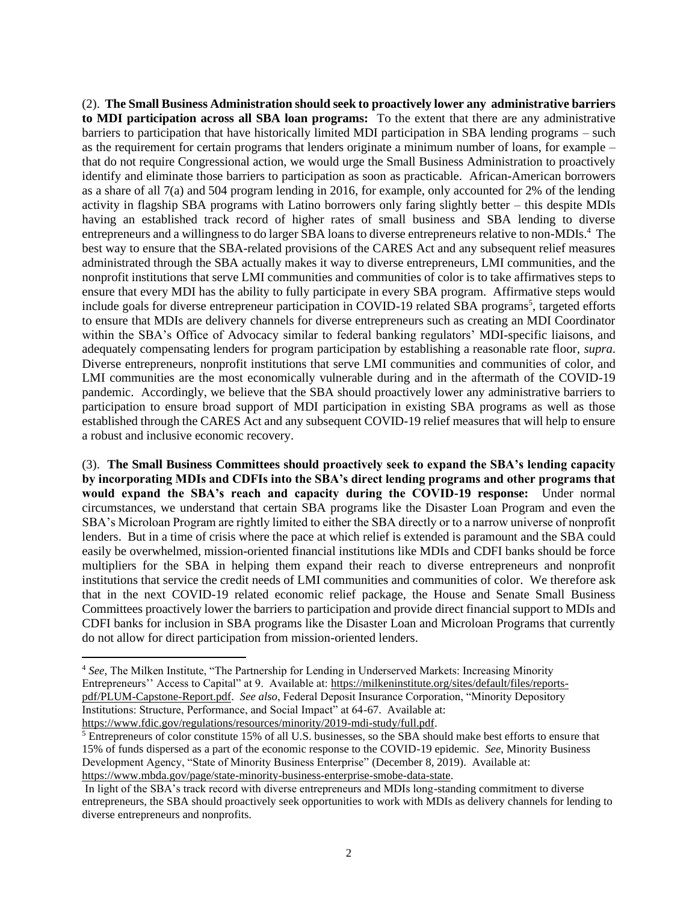(2). **The Small Business Administration should seek to proactively lower any administrative barriers to MDI participation across all SBA loan programs:** To the extent that there are any administrative barriers to participation that have historically limited MDI participation in SBA lending programs – such as the requirement for certain programs that lenders originate a minimum number of loans, for example – that do not require Congressional action, we would urge the Small Business Administration to proactively identify and eliminate those barriers to participation as soon as practicable. African-American borrowers as a share of all 7(a) and 504 program lending in 2016, for example, only accounted for 2% of the lending activity in flagship SBA programs with Latino borrowers only faring slightly better – this despite MDIs having an established track record of higher rates of small business and SBA lending to diverse entrepreneurs and a willingness to do larger SBA loans to diverse entrepreneurs relative to non-MDIs.<sup>4</sup> The best way to ensure that the SBA-related provisions of the CARES Act and any subsequent relief measures administrated through the SBA actually makes it way to diverse entrepreneurs, LMI communities, and the nonprofit institutions that serve LMI communities and communities of color is to take affirmatives steps to ensure that every MDI has the ability to fully participate in every SBA program. Affirmative steps would include goals for diverse entrepreneur participation in COVID-19 related SBA programs<sup>5</sup>, targeted efforts to ensure that MDIs are delivery channels for diverse entrepreneurs such as creating an MDI Coordinator within the SBA's Office of Advocacy similar to federal banking regulators' MDI-specific liaisons, and adequately compensating lenders for program participation by establishing a reasonable rate floor, *supra*. Diverse entrepreneurs, nonprofit institutions that serve LMI communities and communities of color, and LMI communities are the most economically vulnerable during and in the aftermath of the COVID-19 pandemic. Accordingly, we believe that the SBA should proactively lower any administrative barriers to participation to ensure broad support of MDI participation in existing SBA programs as well as those established through the CARES Act and any subsequent COVID-19 relief measures that will help to ensure a robust and inclusive economic recovery.

(3). **The Small Business Committees should proactively seek to expand the SBA's lending capacity by incorporating MDIs and CDFIs into the SBA's direct lending programs and other programs that would expand the SBA's reach and capacity during the COVID-19 response:** Under normal circumstances, we understand that certain SBA programs like the Disaster Loan Program and even the SBA's Microloan Program are rightly limited to either the SBA directly or to a narrow universe of nonprofit lenders. But in a time of crisis where the pace at which relief is extended is paramount and the SBA could easily be overwhelmed, mission-oriented financial institutions like MDIs and CDFI banks should be force multipliers for the SBA in helping them expand their reach to diverse entrepreneurs and nonprofit institutions that service the credit needs of LMI communities and communities of color. We therefore ask that in the next COVID-19 related economic relief package, the House and Senate Small Business Committees proactively lower the barriers to participation and provide direct financial support to MDIs and CDFI banks for inclusion in SBA programs like the Disaster Loan and Microloan Programs that currently do not allow for direct participation from mission-oriented lenders.

<sup>4</sup> *See,* The Milken Institute, "The Partnership for Lending in Underserved Markets: Increasing Minority Entrepreneurs'' Access to Capital" at 9. Available at: [https://milkeninstitute.org/sites/default/files/reports](https://milkeninstitute.org/sites/default/files/reports-pdf/PLUM-Capstone-Report.pdf)[pdf/PLUM-Capstone-Report.pdf.](https://milkeninstitute.org/sites/default/files/reports-pdf/PLUM-Capstone-Report.pdf) *See also*, Federal Deposit Insurance Corporation, "Minority Depository Institutions: Structure, Performance, and Social Impact" at 64-67. Available at: [https://www.fdic.gov/regulations/resources/minority/2019-mdi-study/full.pdf.](https://www.fdic.gov/regulations/resources/minority/2019-mdi-study/full.pdf)

<sup>&</sup>lt;sup>5</sup> Entrepreneurs of color constitute 15% of all U.S. businesses, so the SBA should make best efforts to ensure that 15% of funds dispersed as a part of the economic response to the COVID-19 epidemic. *See*, Minority Business Development Agency, "State of Minority Business Enterprise" (December 8, 2019). Available at: [https://www.mbda.gov/page/state-minority-business-enterprise-smobe-data-state.](https://www.mbda.gov/page/state-minority-business-enterprise-smobe-data-state) 

In light of the SBA's track record with diverse entrepreneurs and MDIs long-standing commitment to diverse entrepreneurs, the SBA should proactively seek opportunities to work with MDIs as delivery channels for lending to diverse entrepreneurs and nonprofits.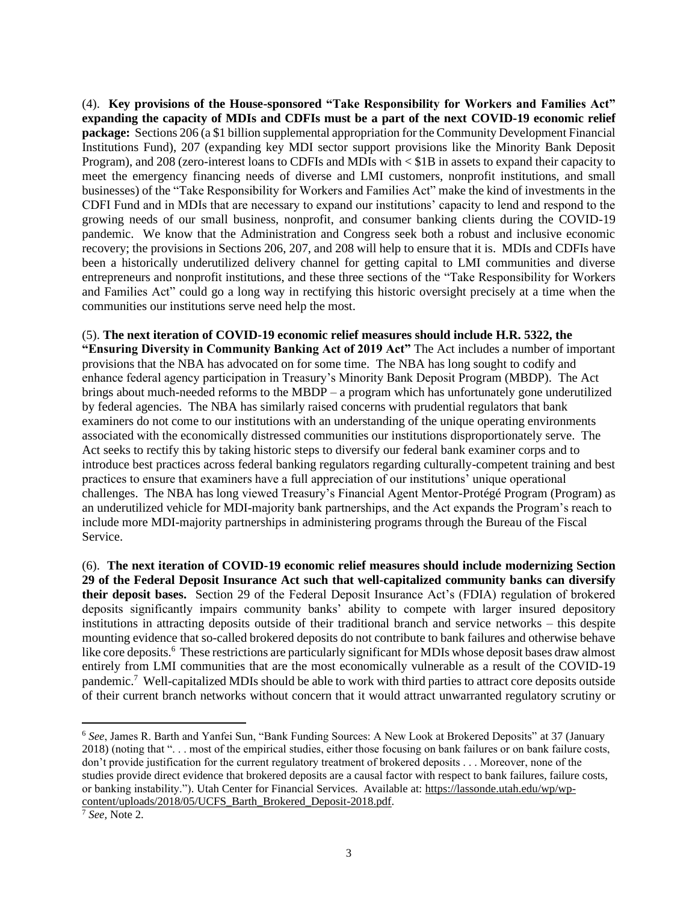(4). **Key provisions of the House-sponsored "Take Responsibility for Workers and Families Act" expanding the capacity of MDIs and CDFIs must be a part of the next COVID-19 economic relief package:** Sections 206 (a \$1 billion supplemental appropriation for the Community Development Financial Institutions Fund), 207 (expanding key MDI sector support provisions like the Minority Bank Deposit Program), and 208 (zero-interest loans to CDFIs and MDIs with < \$1B in assets to expand their capacity to meet the emergency financing needs of diverse and LMI customers, nonprofit institutions, and small businesses) of the "Take Responsibility for Workers and Families Act" make the kind of investments in the CDFI Fund and in MDIs that are necessary to expand our institutions' capacity to lend and respond to the growing needs of our small business, nonprofit, and consumer banking clients during the COVID-19 pandemic. We know that the Administration and Congress seek both a robust and inclusive economic recovery; the provisions in Sections 206, 207, and 208 will help to ensure that it is. MDIs and CDFIs have been a historically underutilized delivery channel for getting capital to LMI communities and diverse entrepreneurs and nonprofit institutions, and these three sections of the "Take Responsibility for Workers and Families Act" could go a long way in rectifying this historic oversight precisely at a time when the communities our institutions serve need help the most.

## (5). **The next iteration of COVID-19 economic relief measures should include H.R. 5322, the**

**"Ensuring Diversity in Community Banking Act of 2019 Act"** The Act includes a number of important provisions that the NBA has advocated on for some time. The NBA has long sought to codify and enhance federal agency participation in Treasury's Minority Bank Deposit Program (MBDP). The Act brings about much-needed reforms to the MBDP – a program which has unfortunately gone underutilized by federal agencies. The NBA has similarly raised concerns with prudential regulators that bank examiners do not come to our institutions with an understanding of the unique operating environments associated with the economically distressed communities our institutions disproportionately serve. The Act seeks to rectify this by taking historic steps to diversify our federal bank examiner corps and to introduce best practices across federal banking regulators regarding culturally-competent training and best practices to ensure that examiners have a full appreciation of our institutions' unique operational challenges. The NBA has long viewed Treasury's Financial Agent Mentor-Protégé Program (Program) as an underutilized vehicle for MDI-majority bank partnerships, and the Act expands the Program's reach to include more MDI-majority partnerships in administering programs through the Bureau of the Fiscal Service.

(6). **The next iteration of COVID-19 economic relief measures should include modernizing Section 29 of the Federal Deposit Insurance Act such that well-capitalized community banks can diversify their deposit bases.** Section 29 of the Federal Deposit Insurance Act's (FDIA) regulation of brokered deposits significantly impairs community banks' ability to compete with larger insured depository institutions in attracting deposits outside of their traditional branch and service networks – this despite mounting evidence that so-called brokered deposits do not contribute to bank failures and otherwise behave like core deposits.<sup>6</sup> These restrictions are particularly significant for MDIs whose deposit bases draw almost entirely from LMI communities that are the most economically vulnerable as a result of the COVID-19 pandemic.<sup>7</sup> Well-capitalized MDIs should be able to work with third parties to attract core deposits outside of their current branch networks without concern that it would attract unwarranted regulatory scrutiny or

<sup>6</sup> *See*, James R. Barth and Yanfei Sun, "Bank Funding Sources: A New Look at Brokered Deposits" at 37 (January 2018) (noting that ". . . most of the empirical studies, either those focusing on bank failures or on bank failure costs, don't provide justification for the current regulatory treatment of brokered deposits . . . Moreover, none of the studies provide direct evidence that brokered deposits are a causal factor with respect to bank failures, failure costs, or banking instability."). Utah Center for Financial Services. Available at: [https://lassonde.utah.edu/wp/wp](https://lassonde.utah.edu/wp/wp-content/uploads/2018/05/UCFS_Barth_Brokered_Deposit-2018.pdf)[content/uploads/2018/05/UCFS\\_Barth\\_Brokered\\_Deposit-2018.pdf.](https://lassonde.utah.edu/wp/wp-content/uploads/2018/05/UCFS_Barth_Brokered_Deposit-2018.pdf)

<sup>7</sup> *See,* Note 2.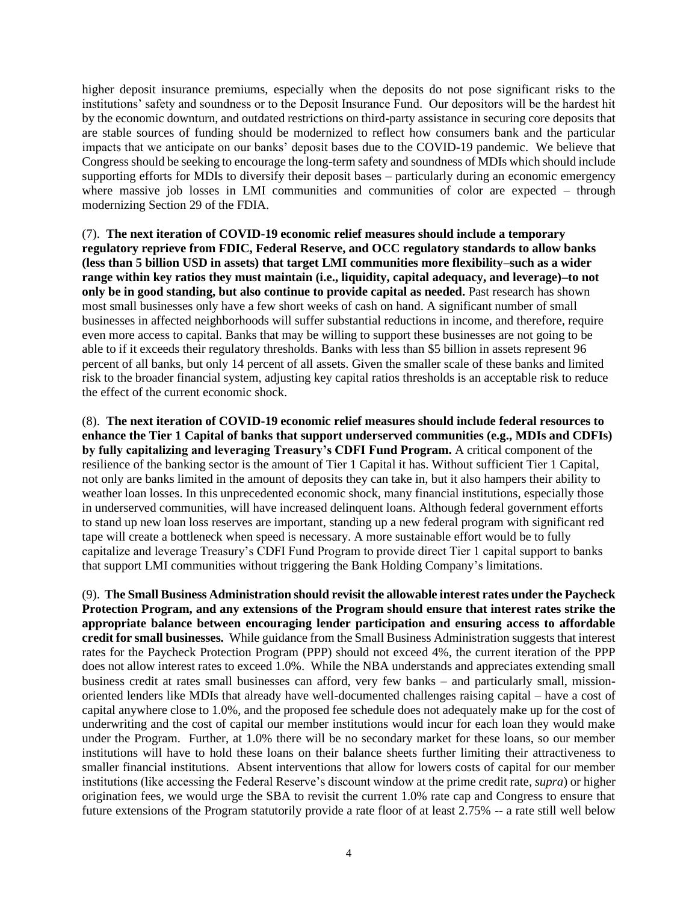higher deposit insurance premiums, especially when the deposits do not pose significant risks to the institutions' safety and soundness or to the Deposit Insurance Fund. Our depositors will be the hardest hit by the economic downturn, and outdated restrictions on third-party assistance in securing core deposits that are stable sources of funding should be modernized to reflect how consumers bank and the particular impacts that we anticipate on our banks' deposit bases due to the COVID-19 pandemic. We believe that Congress should be seeking to encourage the long-term safety and soundness of MDIs which should include supporting efforts for MDIs to diversify their deposit bases – particularly during an economic emergency where massive job losses in LMI communities and communities of color are expected – through modernizing Section 29 of the FDIA.

(7). **The next iteration of COVID-19 economic relief measures should include a temporary regulatory reprieve from FDIC, Federal Reserve, and OCC regulatory standards to allow banks (less than 5 billion USD in assets) that target LMI communities more flexibility–such as a wider range within key ratios they must maintain (i.e., liquidity, capital adequacy, and leverage)–to not only be in good standing, but also continue to provide capital as needed.** Past research has shown most small businesses only have a few short weeks of cash on hand. A significant number of small businesses in affected neighborhoods will suffer substantial reductions in income, and therefore, require even more access to capital. Banks that may be willing to support these businesses are not going to be able to if it exceeds their regulatory thresholds. Banks with less than \$5 billion in assets represent 96 percent of all banks, but only 14 percent of all assets. Given the smaller scale of these banks and limited risk to the broader financial system, adjusting key capital ratios thresholds is an acceptable risk to reduce the effect of the current economic shock.

(8). **The next iteration of COVID-19 economic relief measures should include federal resources to enhance the Tier 1 Capital of banks that support underserved communities (e.g., MDIs and CDFIs) by fully capitalizing and leveraging Treasury's CDFI Fund Program.** A critical component of the resilience of the banking sector is the amount of Tier 1 Capital it has. Without sufficient Tier 1 Capital, not only are banks limited in the amount of deposits they can take in, but it also hampers their ability to weather loan losses. In this unprecedented economic shock, many financial institutions, especially those in underserved communities, will have increased delinquent loans. Although federal government efforts to stand up new loan loss reserves are important, standing up a new federal program with significant red tape will create a bottleneck when speed is necessary. A more sustainable effort would be to fully capitalize and leverage Treasury's CDFI Fund Program to provide direct Tier 1 capital support to banks that support LMI communities without triggering the Bank Holding Company's limitations.

(9). **The Small Business Administration should revisit the allowable interest rates under the Paycheck Protection Program, and any extensions of the Program should ensure that interest rates strike the appropriate balance between encouraging lender participation and ensuring access to affordable credit for small businesses.** While guidance from the Small Business Administration suggests that interest rates for the Paycheck Protection Program (PPP) should not exceed 4%, the current iteration of the PPP does not allow interest rates to exceed 1.0%. While the NBA understands and appreciates extending small business credit at rates small businesses can afford, very few banks – and particularly small, missionoriented lenders like MDIs that already have well-documented challenges raising capital – have a cost of capital anywhere close to 1.0%, and the proposed fee schedule does not adequately make up for the cost of underwriting and the cost of capital our member institutions would incur for each loan they would make under the Program. Further, at 1.0% there will be no secondary market for these loans, so our member institutions will have to hold these loans on their balance sheets further limiting their attractiveness to smaller financial institutions. Absent interventions that allow for lowers costs of capital for our member institutions (like accessing the Federal Reserve's discount window at the prime credit rate, *supra*) or higher origination fees, we would urge the SBA to revisit the current 1.0% rate cap and Congress to ensure that future extensions of the Program statutorily provide a rate floor of at least 2.75% -- a rate still well below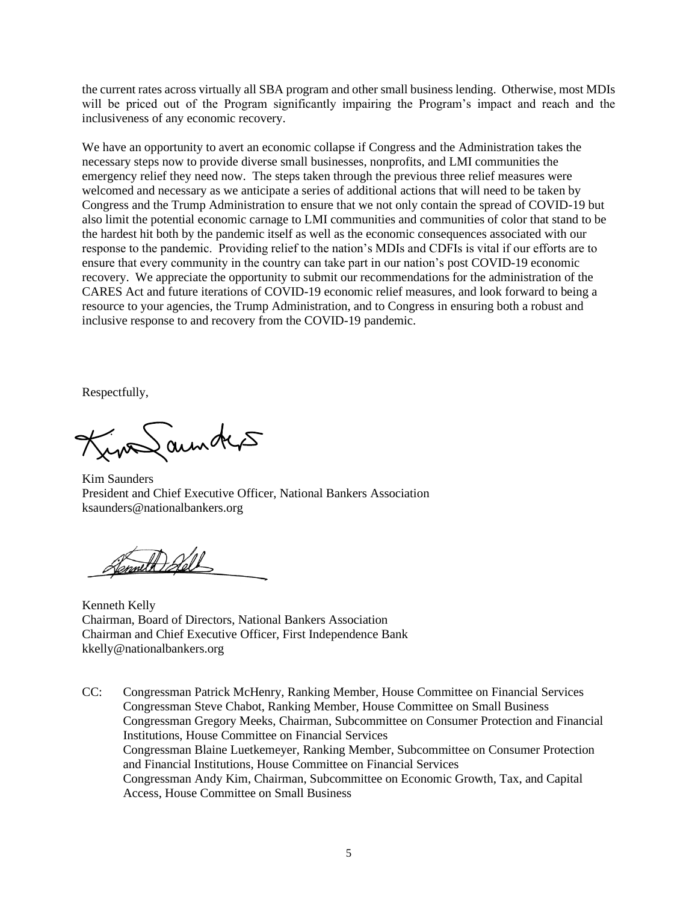the current rates across virtually all SBA program and other small business lending. Otherwise, most MDIs will be priced out of the Program significantly impairing the Program's impact and reach and the inclusiveness of any economic recovery.

We have an opportunity to avert an economic collapse if Congress and the Administration takes the necessary steps now to provide diverse small businesses, nonprofits, and LMI communities the emergency relief they need now. The steps taken through the previous three relief measures were welcomed and necessary as we anticipate a series of additional actions that will need to be taken by Congress and the Trump Administration to ensure that we not only contain the spread of COVID-19 but also limit the potential economic carnage to LMI communities and communities of color that stand to be the hardest hit both by the pandemic itself as well as the economic consequences associated with our response to the pandemic. Providing relief to the nation's MDIs and CDFIs is vital if our efforts are to ensure that every community in the country can take part in our nation's post COVID-19 economic recovery. We appreciate the opportunity to submit our recommendations for the administration of the CARES Act and future iterations of COVID-19 economic relief measures, and look forward to being a resource to your agencies, the Trump Administration, and to Congress in ensuring both a robust and inclusive response to and recovery from the COVID-19 pandemic.

Respectfully,

Kyn Samders

Kim Saunders President and Chief Executive Officer, National Bankers Association ksaunders@nationalbankers.org

Formet Bell

Kenneth Kelly Chairman, Board of Directors, National Bankers Association Chairman and Chief Executive Officer, First Independence Bank [kkelly@nationalbankers.org](mailto:kkelly@nationalbankers.org)

CC: Congressman Patrick McHenry, Ranking Member, House Committee on Financial Services Congressman Steve Chabot, Ranking Member, House Committee on Small Business Congressman Gregory Meeks, Chairman, Subcommittee on Consumer Protection and Financial Institutions, House Committee on Financial Services Congressman Blaine Luetkemeyer, Ranking Member, Subcommittee on Consumer Protection and Financial Institutions, House Committee on Financial Services Congressman Andy Kim, Chairman, Subcommittee on Economic Growth, Tax, and Capital Access, House Committee on Small Business